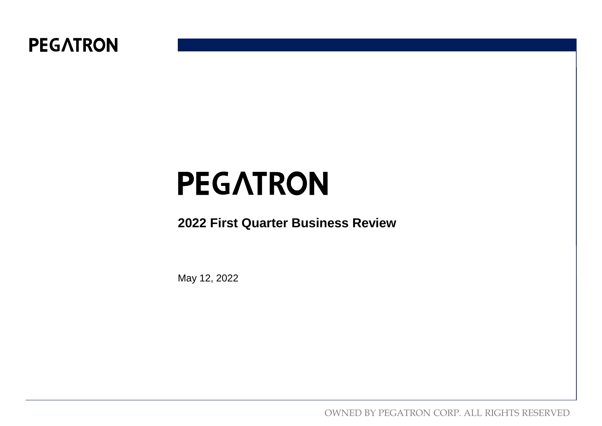

#### **2022 First Quarter Business Review**

May 12, 2022

OWNED BY PEGATRON CORP. ALL RIGHTS RESERVED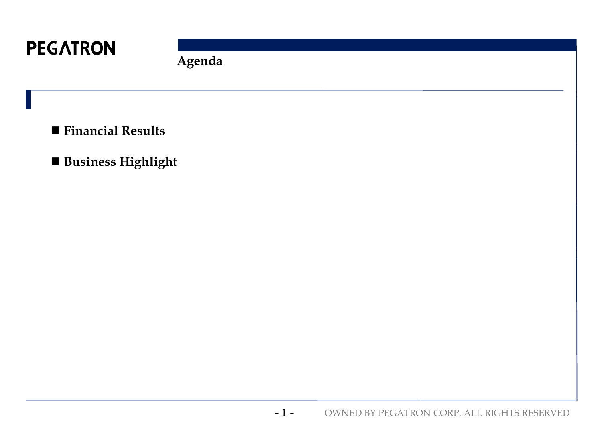

**Agenda**

- **Financial Results**
- **Business Highlight**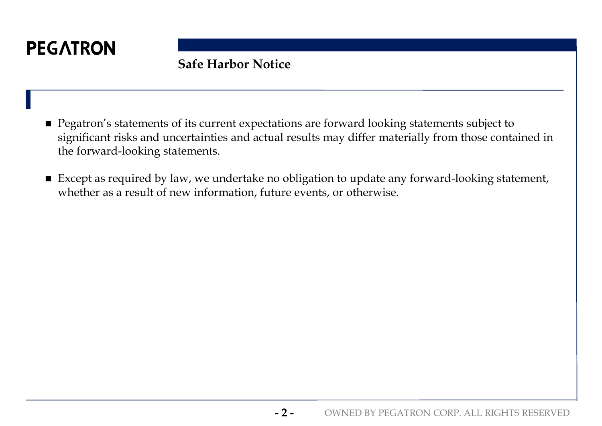

### **Safe Harbor Notice**

- **Pegatron's statements of its current expectations are forward looking statements subject to** significant risks and uncertainties and actual results may differ materially from those contained in the forward-looking statements.
- Except as required by law, we undertake no obligation to update any forward-looking statement, whether as a result of new information, future events, or otherwise.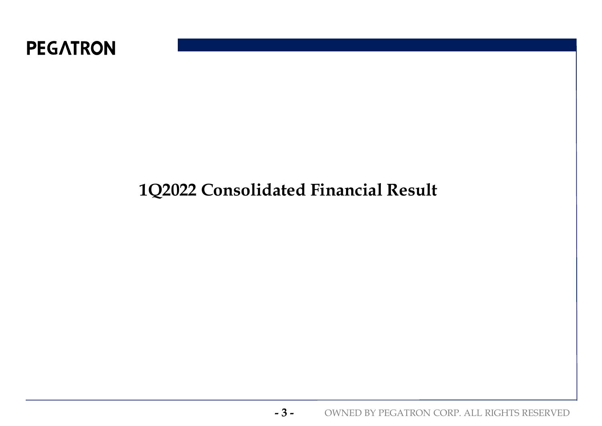

# **1Q2022 Consolidated Financial Result**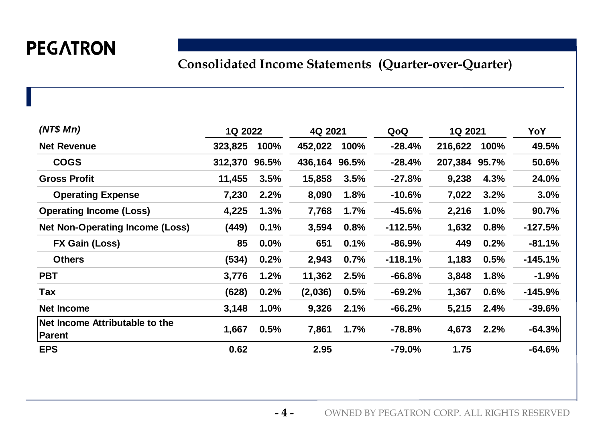### **Consolidated Income Statements (Quarter-over-Quarter)**

| (NT\$ Mn)                                       | 1Q 2022       |      | 4Q 2021       |      | QoQ       | 1Q 2021       |      | YoY       |
|-------------------------------------------------|---------------|------|---------------|------|-----------|---------------|------|-----------|
| <b>Net Revenue</b>                              | 323,825       | 100% | 452,022       | 100% | $-28.4%$  | 216,622       | 100% | 49.5%     |
| <b>COGS</b>                                     | 312,370 96.5% |      | 436,164 96.5% |      | $-28.4%$  | 207,384 95.7% |      | 50.6%     |
| <b>Gross Profit</b>                             | 11,455        | 3.5% | 15,858        | 3.5% | $-27.8%$  | 9,238         | 4.3% | 24.0%     |
| <b>Operating Expense</b>                        | 7,230         | 2.2% | 8,090         | 1.8% | $-10.6%$  | 7,022         | 3.2% | 3.0%      |
| <b>Operating Income (Loss)</b>                  | 4,225         | 1.3% | 7,768         | 1.7% | $-45.6%$  | 2,216         | 1.0% | 90.7%     |
| <b>Net Non-Operating Income (Loss)</b>          | (449)         | 0.1% | 3,594         | 0.8% | $-112.5%$ | 1,632         | 0.8% | $-127.5%$ |
| <b>FX Gain (Loss)</b>                           | 85            | 0.0% | 651           | 0.1% | $-86.9%$  | 449           | 0.2% | $-81.1%$  |
| <b>Others</b>                                   | (534)         | 0.2% | 2,943         | 0.7% | $-118.1%$ | 1,183         | 0.5% | $-145.1%$ |
| <b>PBT</b>                                      | 3,776         | 1.2% | 11,362        | 2.5% | $-66.8%$  | 3,848         | 1.8% | $-1.9%$   |
| Tax                                             | (628)         | 0.2% | (2,036)       | 0.5% | $-69.2%$  | 1,367         | 0.6% | $-145.9%$ |
| Net Income                                      | 3,148         | 1.0% | 9,326         | 2.1% | $-66.2%$  | 5,215         | 2.4% | $-39.6%$  |
| Net Income Attributable to the<br><b>Parent</b> | 1,667         | 0.5% | 7,861         | 1.7% | $-78.8%$  | 4,673         | 2.2% | $-64.3%$  |
| <b>EPS</b>                                      | 0.62          |      | 2.95          |      | $-79.0%$  | 1.75          |      | $-64.6%$  |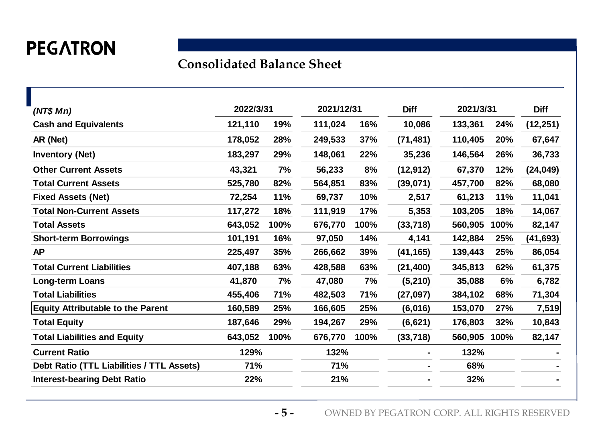#### **Consolidated Balance Sheet**

|         |      |                          |            | <b>Diff</b>               |         |      | <b>Diff</b> |
|---------|------|--------------------------|------------|---------------------------|---------|------|-------------|
| 121,110 | 19%  | 111,024                  | 16%        | 10,086                    | 133,361 | 24%  | (12, 251)   |
| 178,052 | 28%  | 249,533                  | <b>37%</b> | (71, 481)                 | 110,405 | 20%  | 67,647      |
| 183,297 | 29%  | 148,061                  | 22%        | 35,236                    | 146,564 | 26%  | 36,733      |
| 43,321  | 7%   | 56,233                   | 8%         | (12, 912)                 | 67,370  | 12%  | (24, 049)   |
| 525,780 | 82%  | 564,851                  | 83%        | (39,071)                  | 457,700 | 82%  | 68,080      |
| 72,254  | 11%  | 69,737                   | 10%        | 2,517                     | 61,213  | 11%  | 11,041      |
| 117,272 | 18%  | 111,919                  | 17%        | 5,353                     | 103,205 | 18%  | 14,067      |
| 643,052 | 100% | 676,770                  | 100%       | (33, 718)                 | 560,905 | 100% | 82,147      |
| 101,191 | 16%  | 97,050                   | 14%        | 4,141                     | 142,884 | 25%  | (41, 693)   |
| 225,497 | 35%  | 266,662                  | 39%        | (41, 165)                 | 139,443 | 25%  | 86,054      |
| 407,188 | 63%  | 428,588                  | 63%        | (21, 400)                 | 345,813 | 62%  | 61,375      |
| 41,870  | 7%   | 47,080                   | 7%         | (5,210)                   | 35,088  | 6%   | 6,782       |
| 455,406 | 71%  | 482,503                  | 71%        | (27, 097)                 | 384,102 | 68%  | 71,304      |
| 160,589 | 25%  | 166,605                  | 25%        | (6,016)                   | 153,070 | 27%  | 7,519       |
| 187,646 | 29%  | 194,267                  | 29%        | (6, 621)                  | 176,803 | 32%  | 10,843      |
| 643,052 | 100% | 676,770                  | 100%       | (33, 718)                 | 560,905 | 100% | 82,147      |
|         |      |                          |            |                           | 132%    |      |             |
| 71%     |      | 71%                      |            |                           | 68%     |      |             |
|         |      |                          |            |                           | 32%     |      |             |
|         |      | 2022/3/31<br>129%<br>22% |            | 2021/12/31<br>132%<br>21% |         |      | 2021/3/31   |

**- 5 -** OWNED BY PEGATRON CORP. ALL RIGHTS RESERVED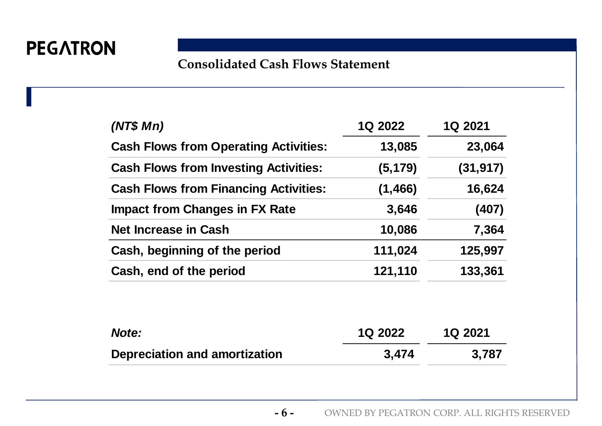### **Consolidated Cash Flows Statement**

| (NT\$ Mn)                                    | 1Q 2022  | 1Q 2021   |
|----------------------------------------------|----------|-----------|
| <b>Cash Flows from Operating Activities:</b> | 13,085   | 23,064    |
| <b>Cash Flows from Investing Activities:</b> | (5, 179) | (31, 917) |
| <b>Cash Flows from Financing Activities:</b> | (1, 466) | 16,624    |
| <b>Impact from Changes in FX Rate</b>        | 3,646    | (407)     |
| <b>Net Increase in Cash</b>                  | 10,086   | 7,364     |
| Cash, beginning of the period                | 111,024  | 125,997   |
| Cash, end of the period                      | 121,110  | 133,361   |

| Note:                         | <b>1Q 2022</b> | <b>1Q 2021</b> |
|-------------------------------|----------------|----------------|
| Depreciation and amortization | 3,474          | 3,787          |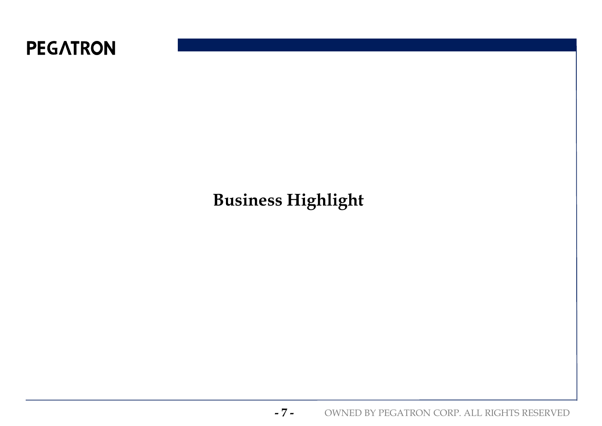

# **Business Highlight**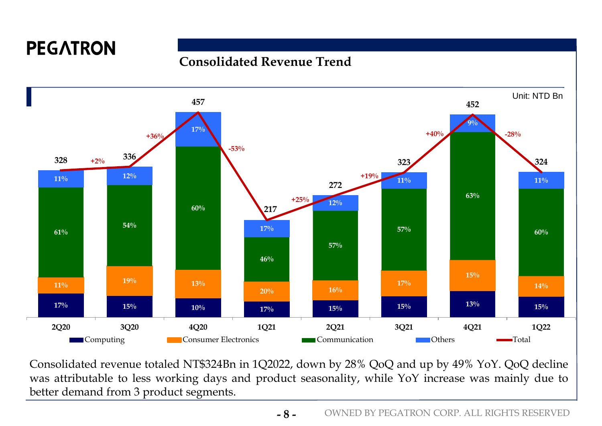#### **Consolidated Revenue Trend**



Consolidated revenue totaled NT\$324Bn in 1Q2022, down by 28% QoQ and up by 49% YoY. QoQ decline was attributable to less working days and product seasonality, while YoY increase was mainly due to better demand from 3 product segments.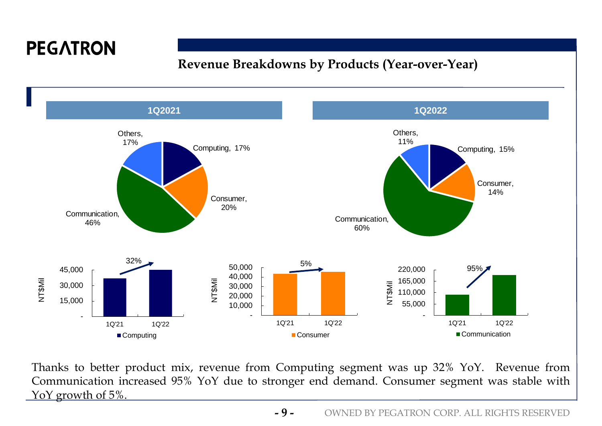#### **Revenue Breakdowns by Products (Year-over-Year)**



Thanks to better product mix, revenue from Computing segment was up 32% YoY. Revenue from Communication increased 95% YoY due to stronger end demand. Consumer segment was stable with YoY growth of 5%.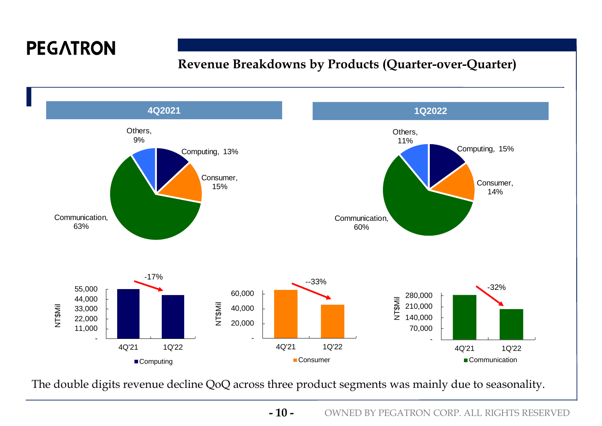### **Revenue Breakdowns by Products (Quarter-over-Quarter)**



The double digits revenue decline QoQ across three product segments was mainly due to seasonality.